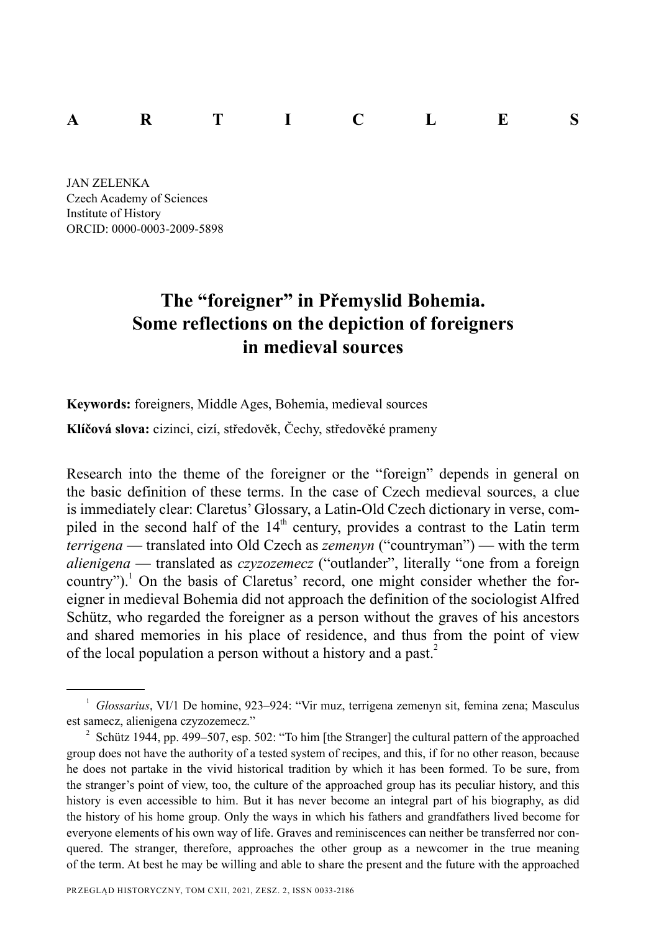## **ARTICLES**

JAN ZELENKA Czech Academy of Sciences Institute of History ORCID: 0000-0003-2009-5898

## **The "foreigner" in Přemyslid Bohemia . Some reflections on the depiction of foreigners in medieval sources**

**Keywords:** foreigners, Middle Ages, Bohemia, medieval sources

**Klíčová slova:** cizinci, cizí, středověk, Čechy, středověké prameny

Research into the theme of the foreigner or the "foreign" depends in general on the basic definition of these terms. In the case of Czech medieval sources, a clue is immediately clear: Claretus' Glossary, a Latin-Old Czech dictionary in verse, compiled in the second half of the  $14<sup>th</sup>$  century, provides a contrast to the Latin term *terrigena* — translated into Old Czech as *zemenyn* ("countryman") — with the term *alienigena* — translated as *czyzozemecz* ("outlander", literally "one from a foreign country").<sup>1</sup> On the basis of Claretus' record, one might consider whether the foreigner in medieval Bohemia did not approach the definition of the sociologist Alfred Schütz, who regarded the foreigner as a person without the graves of his ancestors and shared memories in his place of residence, and thus from the point of view of the local population a person without a history and a past.<sup>2</sup>

<sup>&</sup>lt;sup>1</sup> Glossarius, VI/1 De homine, 923-924: "Vir muz, terrigena zemenyn sit, femina zena; Masculus est samecz, alienigena czyzozemecz."

<sup>&</sup>lt;sup>2</sup> Schütz 1944, pp. 499–507, esp. 502: "To him [the Stranger] the cultural pattern of the approached group does not have the authority of a tested system of recipes, and this, if for no other reason, because he does not partake in the vivid historical tradition by which it has been formed. To be sure, from the stranger's point of view, too, the culture of the approached group has its peculiar history, and this history is even accessible to him. But it has never become an integral part of his biography, as did the history of his home group. Only the ways in which his fathers and grandfathers lived become for everyone elements of his own way of life. Graves and reminiscences can neither be transferred nor conquered. The stranger, therefore, approaches the other group as a newcomer in the true meaning of the term. At best he may be willing and able to share the present and the future with the approached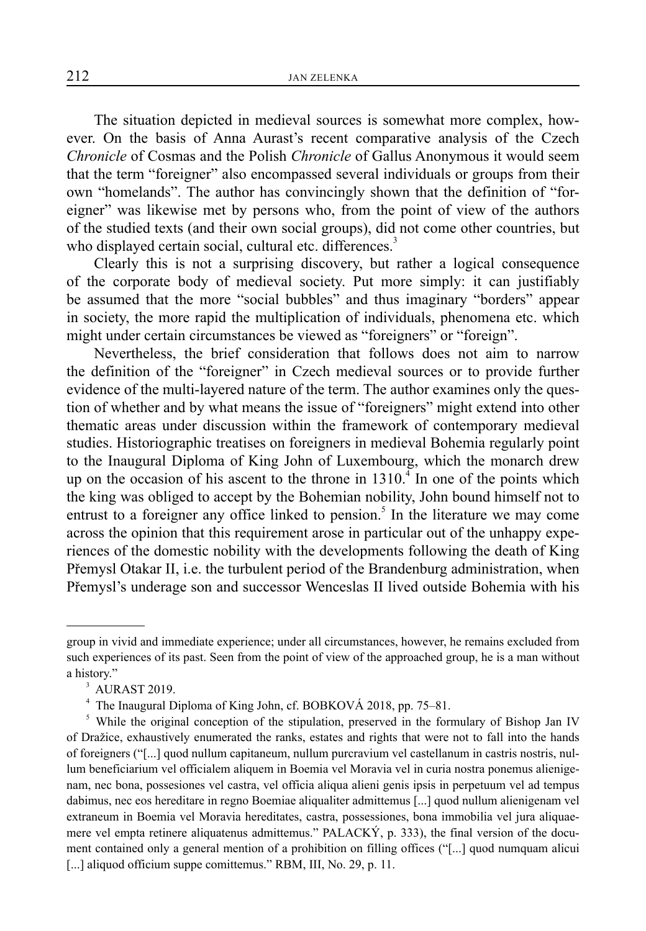The situation depicted in medieval sources is somewhat more complex, however. On the basis of Anna Aurast's recent comparative analysis of the Czech *Chronicle* of Cosmas and the Polish *Chronicle* of Gallus Anonymous it would seem that the term "foreigner" also encompassed several individuals or groups from their own "homelands". The author has convincingly shown that the definition of "foreigner" was likewise met by persons who, from the point of view of the authors of the studied texts (and their own social groups), did not come other countries, but who displayed certain social, cultural etc. differences.<sup>3</sup>

Clearly this is not a surprising discovery, but rather a logical consequence of the corporate body of medieval society. Put more simply: it can justifiably be assumed that the more "social bubbles" and thus imaginary "borders" appear in society, the more rapid the multiplication of individuals, phenomena etc. which might under certain circumstances be viewed as "foreigners" or "foreign".

Nevertheless, the brief consideration that follows does not aim to narrow the definition of the "foreigner" in Czech medieval sources or to provide further evidence of the multi-layered nature of the term. The author examines only the question of whether and by what means the issue of "foreigners" might extend into other thematic areas under discussion within the framework of contemporary medieval studies. Historiographic treatises on foreigners in medieval Bohemia regularly point to the Inaugural Diploma of King John of Luxembourg, which the monarch drew up on the occasion of his ascent to the throne in  $1310<sup>4</sup>$  In one of the points which the king was obliged to accept by the Bohemian nobility, John bound himself not to entrust to a foreigner any office linked to pension.<sup>5</sup> In the literature we may come across the opinion that this requirement arose in particular out of the unhappy experiences of the domestic nobility with the developments following the death of King Přemysl Otakar II, i.e. the turbulent period of the Brandenburg administration, when Přemysl's underage son and successor Wenceslas II lived outside Bohemia with his

group in vivid and immediate experience; under all circumstances, however, he remains excluded from such experiences of its past. Seen from the point of view of the approached group, he is a man without a history."

<sup>3</sup> AURAST 2019.

<sup>4</sup> The Inaugural Diploma of King John, cf. BOBKOVÁ 2018, pp. 75–81.

<sup>&</sup>lt;sup>5</sup> While the original conception of the stipulation, preserved in the formulary of Bishop Jan IV of Dražice, exhaustively enumerated the ranks, estates and rights that were not to fall into the hands of foreigners ("[...] quod nullum capitaneum, nullum purcravium vel castellanum in castris nostris, nullum beneficiarium vel officialem aliquem in Boemia vel Moravia vel in curia nostra ponemus alienigenam, nec bona, possesiones vel castra, vel officia aliqua alieni genis ipsis in perpetuum vel ad tempus dabimus, nec eos hereditare in regno Boemiae aliqualiter admittemus [...] quod nullum alienigenam vel extraneum in Boemia vel Moravia hereditates, castra, possessiones, bona immobilia vel jura aliquaemere vel empta retinere aliquatenus admittemus." PALACKÝ, p. 333), the final version of the document contained only a general mention of a prohibition on filling offices ("[...] quod numquam alicui [...] aliquod officium suppe comittemus." RBM, III, No. 29, p. 11.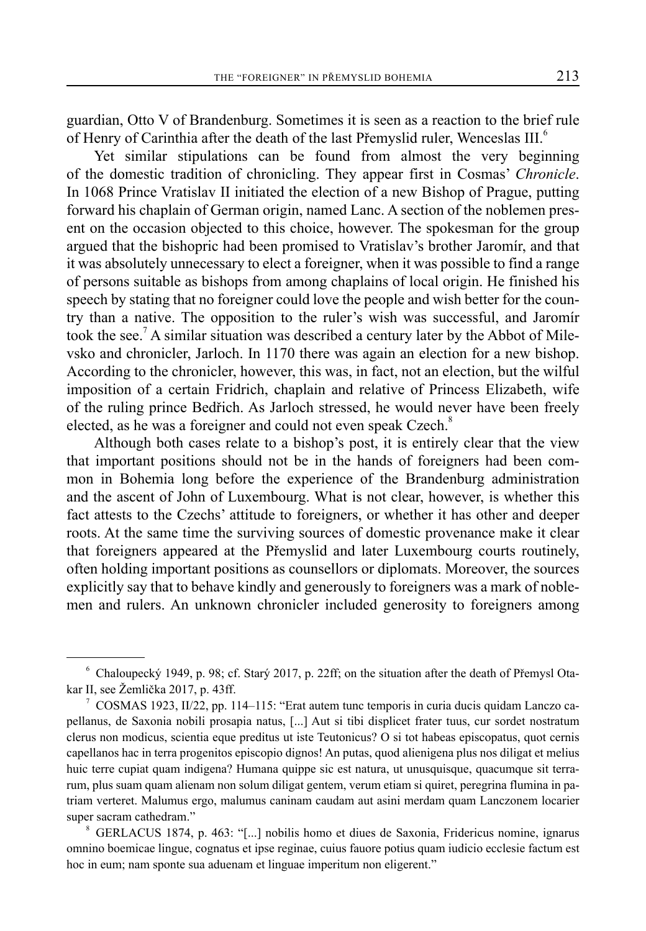guardian, Otto V of Brandenburg. Sometimes it is seen as a reaction to the brief rule of Henry of Carinthia after the death of the last Přemyslid ruler, Wenceslas III.<sup>6</sup>

Yet similar stipulations can be found from almost the very beginning of the domestic tradition of chronicling. They appear first in Cosmas' *Chronicle*. In 1068 Prince Vratislav II initiated the election of a new Bishop of Prague, putting forward his chaplain of German origin, named Lanc. A section of the noblemen present on the occasion objected to this choice, however. The spokesman for the group argued that the bishopric had been promised to Vratislav's brother Jaromír, and that it was absolutely unnecessary to elect a foreigner, when it was possible to find a range of persons suitable as bishops from among chaplains of local origin. He finished his speech by stating that no foreigner could love the people and wish better for the country than a native. The opposition to the ruler's wish was successful, and Jaromír took the see.<sup>7</sup> A similar situation was described a century later by the Abbot of Milevsko and chronicler, Jarloch. In 1170 there was again an election for a new bishop. According to the chronicler, however, this was, in fact, not an election, but the wilful imposition of a certain Fridrich, chaplain and relative of Princess Elizabeth, wife of the ruling prince Bedřich. As Jarloch stressed, he would never have been freely elected, as he was a foreigner and could not even speak Czech.<sup>8</sup>

Although both cases relate to a bishop's post, it is entirely clear that the view that important positions should not be in the hands of foreigners had been common in Bohemia long before the experience of the Brandenburg administration and the ascent of John of Luxembourg. What is not clear, however, is whether this fact attests to the Czechs' attitude to foreigners, or whether it has other and deeper roots. At the same time the surviving sources of domestic provenance make it clear that foreigners appeared at the Přemyslid and later Luxembourg courts routinely, often holding important positions as counsellors or diplomats. Moreover, the sources explicitly say that to behave kindly and generously to foreigners was a mark of noblemen and rulers. An unknown chronicler included generosity to foreigners among

<sup>6</sup> Chaloupecký 1949, p. 98; cf. Starý 2017, p. 22ff; on the situation after the death of Přemysl Otakar II, see Žemlička 2017, p. 43ff.

 $\frac{7}{10}$  COSMAS 1923, II/22, pp. 114–115: "Erat autem tunc temporis in curia ducis quidam Lanczo capellanus, de Saxonia nobili prosapia natus, [...] Aut si tibi displicet frater tuus, cur sordet nostratum clerus non modicus, scientia eque preditus ut iste Teutonicus? O si tot habeas episcopatus, quot cernis capellanos hac in terra progenitos episcopio dignos! An putas, quod alienigena plus nos diligat et melius huic terre cupiat quam indigena? Humana quippe sic est natura, ut unusquisque, quacumque sit terrarum, plus suam quam alienam non solum diligat gentem, verum etiam si quiret, peregrina flumina in patriam verteret. Malumus ergo, malumus caninam caudam aut asini merdam quam Lanczonem locarier super sacram cathedram."

<sup>8</sup> GERLACUS 1874, p. 463: "[...] nobilis homo et diues de Saxonia, Fridericus nomine, ignarus omnino boemicae lingue, cognatus et ipse reginae, cuius fauore potius quam iudicio ecclesie factum est hoc in eum; nam sponte sua aduenam et linguae imperitum non eligerent."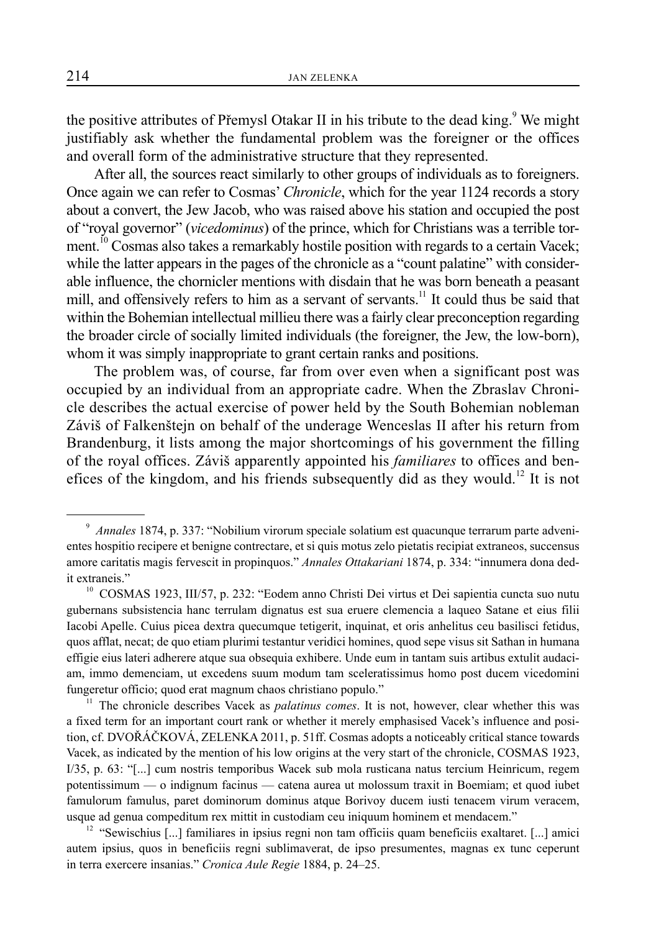the positive attributes of Přemysl Otakar II in his tribute to the dead king. $9$  We might justifiably ask whether the fundamental problem was the foreigner or the offices and overall form of the administrative structure that they represented.

After all, the sources react similarly to other groups of individuals as to foreigners. Once again we can refer to Cosmas' *Chronicle*, which for the year 1124 records a story about a convert, the Jew Jacob, who was raised above his station and occupied the post of "royal governor" (*vicedominus*) of the prince, which for Christians was a terrible torment.<sup>10</sup> Cosmas also takes a remarkably hostile position with regards to a certain Vacek; while the latter appears in the pages of the chronicle as a "count palatine" with considerable influence, the chornicler mentions with disdain that he was born beneath a peasant mill, and offensively refers to him as a servant of servants.<sup>11</sup> It could thus be said that within the Bohemian intellectual millieu there was a fairly clear preconception regarding the broader circle of socially limited individuals (the foreigner, the Jew, the low-born), whom it was simply inappropriate to grant certain ranks and positions.

The problem was, of course, far from over even when a significant post was occupied by an individual from an appropriate cadre. When the Zbraslav Chronicle describes the actual exercise of power held by the South Bohemian nobleman Záviš of Falkenštejn on behalf of the underage Wenceslas II after his return from Brandenburg, it lists among the major shortcomings of his government the filling of the royal offices. Záviš apparently appointed his *familiares* to offices and benefices of the kingdom, and his friends subsequently did as they would.<sup>12</sup> It is not

<sup>9</sup> *Annales* 1874, p. 337: "Nobilium virorum speciale solatium est quacunque terrarum parte advenientes hospitio recipere et benigne contrectare, et si quis motus zelo pietatis recipiat extraneos, succensus amore caritatis magis fervescit in propinquos." *Annales Ottakariani* 1874, p. 334: "innumera dona dedit extraneis."

<sup>&</sup>lt;sup>10</sup> COSMAS 1923, III/57, p. 232: "Eodem anno Christi Dei virtus et Dei sapientia cuncta suo nutu gubernans subsistencia hanc terrulam dignatus est sua eruere clemencia a laqueo Satane et eius filii Iacobi Apelle. Cuius picea dextra quecumque tetigerit, inquinat, et oris anhelitus ceu basilisci fetidus, quos afflat, necat; de quo etiam plurimi testantur veridici homines, quod sepe visus sit Sathan in humana effigie eius lateri adherere atque sua obsequia exhibere. Unde eum in tantam suis artibus extulit audaciam, immo demenciam, ut excedens suum modum tam sceleratissimus homo post ducem vicedomini fungeretur officio; quod erat magnum chaos christiano populo."

<sup>&</sup>lt;sup>11</sup> The chronicle describes Vacek as *palatinus comes*. It is not, however, clear whether this was a fixed term for an important court rank or whether it merely emphasised Vacek's influence and position, cf. DVOŘÁČKOVÁ, ZELENKA 2011, p. 51ff. Cosmas adopts a noticeably critical stance towards Vacek, as indicated by the mention of his low origins at the very start of the chronicle, COSMAS 1923, I/35, p. 63: "[...] cum nostris temporibus Wacek sub mola rusticana natus tercium Heinricum, regem potentissimum — o indignum facinus — catena aurea ut molossum traxit in Boemiam; et quod iubet famulorum famulus, paret dominorum dominus atque Borivoy ducem iusti tenacem virum veracem, usque ad genua compeditum rex mittit in custodiam ceu iniquum hominem et mendacem."

<sup>&</sup>lt;sup>12</sup> "Sewischius [...] familiares in ipsius regni non tam officiis quam beneficiis exaltaret. [...] amici autem ipsius, quos in beneficiis regni sublimaverat, de ipso presumentes, magnas ex tunc ceperunt in terra exercere insanias." *Cronica Aule Regie* 1884, p. 24–25.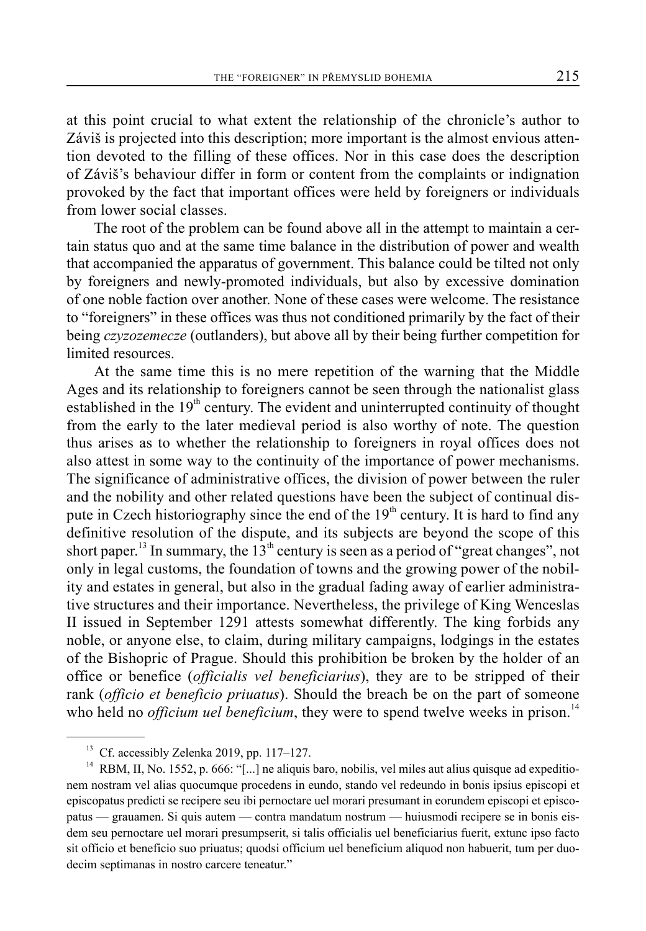at this point crucial to what extent the relationship of the chronicle's author to Záviš is projected into this description; more important is the almost envious attention devoted to the filling of these offices. Nor in this case does the description of Záviš's behaviour differ in form or content from the complaints or indignation provoked by the fact that important offices were held by foreigners or individuals from lower social classes.

The root of the problem can be found above all in the attempt to maintain a certain status quo and at the same time balance in the distribution of power and wealth that accompanied the apparatus of government. This balance could be tilted not only by foreigners and newly-promoted individuals, but also by excessive domination of one noble faction over another. None of these cases were welcome. The resistance to "foreigners" in these offices was thus not conditioned primarily by the fact of their being *czyzozemecze* (outlanders), but above all by their being further competition for limited resources.

At the same time this is no mere repetition of the warning that the Middle Ages and its relationship to foreigners cannot be seen through the nationalist glass established in the 19<sup>th</sup> century. The evident and uninterrupted continuity of thought from the early to the later medieval period is also worthy of note. The question thus arises as to whether the relationship to foreigners in royal offices does not also attest in some way to the continuity of the importance of power mechanisms. The significance of administrative offices, the division of power between the ruler and the nobility and other related questions have been the subject of continual dispute in Czech historiography since the end of the  $19<sup>th</sup>$  century. It is hard to find any definitive resolution of the dispute, and its subjects are beyond the scope of this short paper.<sup>13</sup> In summary, the  $13<sup>th</sup>$  century is seen as a period of "great changes", not only in legal customs, the foundation of towns and the growing power of the nobility and estates in general, but also in the gradual fading away of earlier administrative structures and their importance. Nevertheless, the privilege of King Wenceslas II issued in September 1291 attests somewhat differently. The king forbids any noble, or anyone else, to claim, during military campaigns, lodgings in the estates of the Bishopric of Prague. Should this prohibition be broken by the holder of an office or benefice (*officialis vel beneficiarius*), they are to be stripped of their rank (*officio et beneficio priuatus*). Should the breach be on the part of someone who held no *officium uel beneficium*, they were to spend twelve weeks in prison.<sup>14</sup>

<sup>&</sup>lt;sup>13</sup> Cf. accessibly Zelenka 2019, pp. 117-127.

<sup>&</sup>lt;sup>14</sup> RBM, II, No. 1552, p. 666: "[...] ne aliquis baro, nobilis, vel miles aut alius quisque ad expeditionem nostram vel alias quocumque procedens in eundo, stando vel redeundo in bonis ipsius episcopi et episcopatus predicti se recipere seu ibi pernoctare uel morari presumant in eorundem episcopi et episcopatus — grauamen. Si quis autem — contra mandatum nostrum — huiusmodi recipere se in bonis eisdem seu pernoctare uel morari presumpserit, si talis officialis uel beneficiarius fuerit, extunc ipso facto sit officio et beneficio suo priuatus; quodsi officium uel beneficium aliquod non habuerit, tum per duodecim septimanas in nostro carcere teneatur."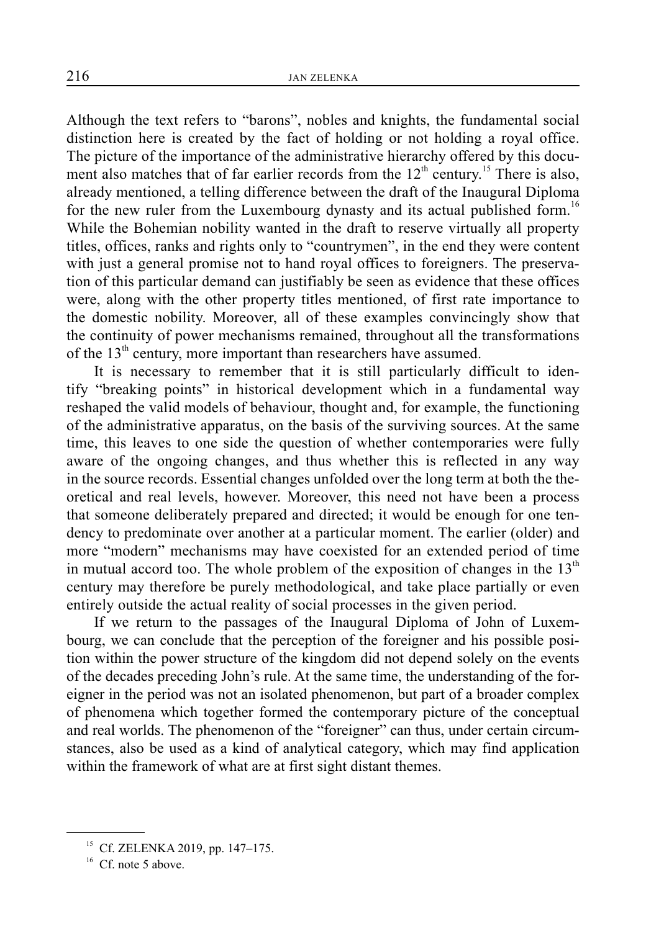Although the text refers to "barons", nobles and knights, the fundamental social distinction here is created by the fact of holding or not holding a royal office. The picture of the importance of the administrative hierarchy offered by this document also matches that of far earlier records from the  $12<sup>th</sup>$  century.<sup>15</sup> There is also, already mentioned, a telling difference between the draft of the Inaugural Diploma for the new ruler from the Luxembourg dynasty and its actual published form.<sup>16</sup> While the Bohemian nobility wanted in the draft to reserve virtually all property titles, offices, ranks and rights only to "countrymen", in the end they were content with just a general promise not to hand royal offices to foreigners. The preservation of this particular demand can justifiably be seen as evidence that these offices were, along with the other property titles mentioned, of first rate importance to the domestic nobility. Moreover, all of these examples convincingly show that the continuity of power mechanisms remained, throughout all the transformations of the 13<sup>th</sup> century, more important than researchers have assumed.

It is necessary to remember that it is still particularly difficult to identify "breaking points" in historical development which in a fundamental way reshaped the valid models of behaviour, thought and, for example, the functioning of the administrative apparatus, on the basis of the surviving sources. At the same time, this leaves to one side the question of whether contemporaries were fully aware of the ongoing changes, and thus whether this is reflected in any way in the source records. Essential changes unfolded over the long term at both the theoretical and real levels, however. Moreover, this need not have been a process that someone deliberately prepared and directed; it would be enough for one tendency to predominate over another at a particular moment. The earlier (older) and more "modern" mechanisms may have coexisted for an extended period of time in mutual accord too. The whole problem of the exposition of changes in the  $13<sup>th</sup>$ century may therefore be purely methodological, and take place partially or even entirely outside the actual reality of social processes in the given period.

If we return to the passages of the Inaugural Diploma of John of Luxembourg, we can conclude that the perception of the foreigner and his possible position within the power structure of the kingdom did not depend solely on the events of the decades preceding John's rule. At the same time, the understanding of the foreigner in the period was not an isolated phenomenon, but part of a broader complex of phenomena which together formed the contemporary picture of the conceptual and real worlds. The phenomenon of the "foreigner" can thus, under certain circumstances, also be used as a kind of analytical category, which may find application within the framework of what are at first sight distant themes.

<sup>&</sup>lt;sup>15</sup> Cf. ZELENKA 2019, pp. 147–175.

 $16$  Cf. note 5 above.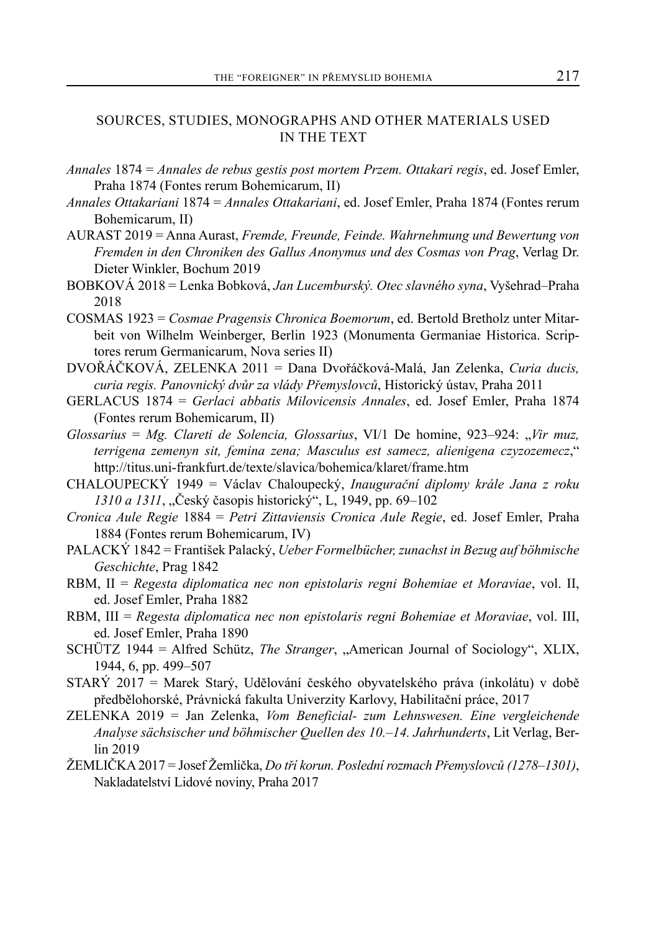## SOURCES, STUDIES, MONOGRAPHS AND OTHER MATERIALS USED IN THE TEXT

- *Annales* 1874 = *Annales de rebus gestis post mortem Przem. Ottakari regis*, ed. Josef Emler, Praha 1874 (Fontes rerum Bohemicarum, II)
- *Annales Ottakariani* 1874 = *Annales Ottakariani*, ed. Josef Emler, Praha 1874 (Fontes rerum Bohemicarum, II)
- AURAST 2019 = Anna Aurast, *Fremde, Freunde, Feinde. Wahrnehmung und Bewertung von Fremden in den Chroniken des Gallus Anonymus und des Cosmas von Prag*, Verlag Dr. Dieter Winkler, Bochum 2019
- BOBKOVÁ 2018 = Lenka Bobková, *Jan Lucemburský. Otec slavného syna*, Vyšehrad–Praha 2018
- COSMAS 1923 = *Cosmae Pragensis Chronica Boemorum*, ed. Bertold Bretholz unter Mitarbeit von Wilhelm Weinberger, Berlin 1923 (Monumenta Germaniae Historica. Scriptores rerum Germanicarum, Nova series II)
- DVOŘÁČKOVÁ, ZELENKA 2011 = Dana Dvořáčková-Malá, Jan Zelenka, *Curia ducis, curia regis. Panovnický dvůr za vlády Přemyslovců*, Historický ústav, Praha 2011
- GERLACUS 1874 = *Gerlaci abbatis Milovicensis Annales*, ed. Josef Emler, Praha 1874 (Fontes rerum Bohemicarum, II)
- *Glossarius* = *Mg. Clareti de Solencia, Glossarius*, VI/1 De homine, 923–924: "*Vir muz*, *terrigena zemenyn sit, femina zena; Masculus est samecz, alienigena czyzozemecz*," http://titus.uni-frankfurt.de/texte/slavica/bohemica/klaret/frame.htm
- CHALOUPECKÝ 1949 = Václav Chaloupecký, *Inaugurační diplomy krále Jana z roku 1310 a 1311*, "Český časopis historický", L, 1949, pp. 69–102
- *Cronica Aule Regie* 1884 = *Petri Zittaviensis Cronica Aule Regie*, ed. Josef Emler, Praha 1884 (Fontes rerum Bohemicarum, IV)
- PALACKÝ 1842 = František Palacký, *Ueber Formelbücher, zunachst in Bezug auf böhmische Geschichte*, Prag 1842
- RBM, II = *Regesta diplomatica nec non epistolaris regni Bohemiae et Moraviae*, vol. II, ed. Josef Emler, Praha 1882
- RBM, III = *Regesta diplomatica nec non epistolaris regni Bohemiae et Moraviae*, vol. III, ed. Josef Emler, Praha 1890
- SCHÜTZ 1944 = Alfred Schütz, *The Stranger*, "American Journal of Sociology", XLIX, 1944, 6, pp. 499–507
- STARÝ 2017 = Marek Starý, Udělování českého obyvatelského práva (inkolátu) v době předbělohorské, Právnická fakulta Univerzity Karlovy, Habilitační práce, 2017
- ZELENKA 2019 = Jan Zelenka, *Vom Beneficial- zum Lehnswesen. Eine vergleichende Analyse sächsischer und böhmischer Quellen des 10.–14. Jahrhunderts*, Lit Verlag, Berlin 2019
- ŽEMLIČKA 2017 = Josef Žemlička, *Do tří korun. Poslední rozmach Přemyslovců (1278–1301)*, Nakladatelství Lidové noviny, Praha 2017